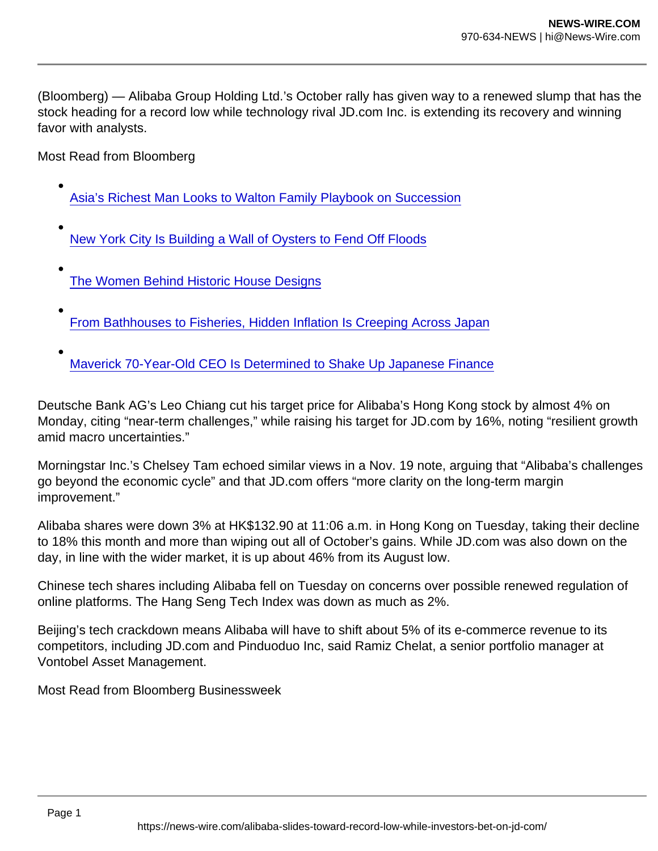(Bloomberg) — Alibaba Group Holding Ltd.'s October rally has given way to a renewed slump that has the stock heading for a record low while technology rival JD.com Inc. is extending its recovery and winning favor with analysts.

Most Read from Bloomberg

- [Asia's Richest Man Looks to Walton Family Playbook on Succession](https://www.bloomberg.com/news/features/2021-11-22/asia-s-richest-man-mukesh-ambani-eyes-walton-family-for-succession-plan?utm_campaign=bn&utm_medium=distro&utm_source=yahooUS)
- [New York City Is Building a Wall of Oysters to Fend Off Floods](https://www.bloomberg.com/news/features/2021-11-19/to-fight-floods-new-york-city-rebuilds-a-wall-of-oysters?utm_campaign=bn&utm_medium=distro&utm_source=yahooUS)
- [The Women Behind Historic House Designs](https://www.bloomberg.com/news/features/2021-11-19/recognition-grows-of-modernist-women-designers?utm_campaign=bn&utm_medium=distro&utm_source=yahooUS)
- [From Bathhouses to Fisheries, Hidden Inflation Is Creeping Across Japan](https://www.bloomberg.com/news/features/2021-11-21/oil-price-rises-hit-japan-s-bathhouses-fisheries-gasoline-prices?utm_campaign=bn&utm_medium=distro&utm_source=yahooUS)
- [Maverick 70-Year-Old CEO Is Determined to Shake Up Japanese Finance](https://www.bloomberg.com/news/features/2021-11-21/sbi-s-maverick-70-year-old-ceo-is-determined-to-shake-up-japanese-finance?utm_campaign=bn&utm_medium=distro&utm_source=yahooUS)

Deutsche Bank AG's Leo Chiang cut his target price for Alibaba's Hong Kong stock by almost 4% on Monday, citing "near-term challenges," while raising his target for JD.com by 16%, noting "resilient growth amid macro uncertainties."

Morningstar Inc.'s Chelsey Tam echoed similar views in a Nov. 19 note, arguing that "Alibaba's challenges go beyond the economic cycle" and that JD.com offers "more clarity on the long-term margin improvement."

Alibaba shares were down 3% at HK\$132.90 at 11:06 a.m. in Hong Kong on Tuesday, taking their decline to 18% this month and more than wiping out all of October's gains. While JD.com was also down on the day, in line with the wider market, it is up about 46% from its August low.

Chinese tech shares including Alibaba fell on Tuesday on concerns over possible renewed regulation of online platforms. The Hang Seng Tech Index was down as much as 2%.

Beijing's tech crackdown means Alibaba will have to shift about 5% of its e-commerce revenue to its competitors, including JD.com and Pinduoduo Inc, said Ramiz Chelat, a senior portfolio manager at Vontobel Asset Management.

Most Read from Bloomberg Businessweek